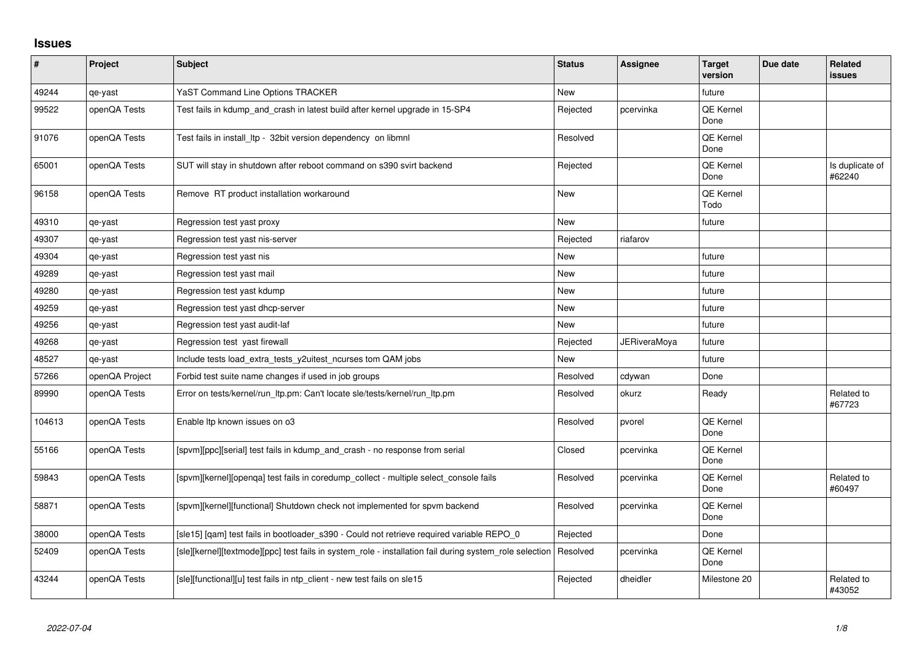## **Issues**

| $\sharp$ | Project        | <b>Subject</b>                                                                                          | <b>Status</b> | <b>Assignee</b>     | <b>Target</b><br>version | Due date | <b>Related</b><br>issues  |
|----------|----------------|---------------------------------------------------------------------------------------------------------|---------------|---------------------|--------------------------|----------|---------------------------|
| 49244    | qe-yast        | YaST Command Line Options TRACKER                                                                       | <b>New</b>    |                     | future                   |          |                           |
| 99522    | openQA Tests   | Test fails in kdump_and_crash in latest build after kernel upgrade in 15-SP4                            | Rejected      | pcervinka           | QE Kernel<br>Done        |          |                           |
| 91076    | openQA Tests   | Test fails in install Itp - 32bit version dependency on libmnl                                          | Resolved      |                     | QE Kernel<br>Done        |          |                           |
| 65001    | openQA Tests   | SUT will stay in shutdown after reboot command on s390 svirt backend                                    | Rejected      |                     | <b>QE Kernel</b><br>Done |          | Is duplicate of<br>#62240 |
| 96158    | openQA Tests   | Remove RT product installation workaround                                                               | New           |                     | QE Kernel<br>Todo        |          |                           |
| 49310    | qe-yast        | Regression test yast proxy                                                                              | <b>New</b>    |                     | future                   |          |                           |
| 49307    | qe-yast        | Regression test yast nis-server                                                                         | Rejected      | riafarov            |                          |          |                           |
| 49304    | qe-yast        | Regression test yast nis                                                                                | <b>New</b>    |                     | future                   |          |                           |
| 49289    | qe-yast        | Regression test yast mail                                                                               | New           |                     | future                   |          |                           |
| 49280    | qe-yast        | Regression test yast kdump                                                                              | <b>New</b>    |                     | future                   |          |                           |
| 49259    | qe-yast        | Regression test yast dhcp-server                                                                        | <b>New</b>    |                     | future                   |          |                           |
| 49256    | qe-yast        | Regression test yast audit-laf                                                                          | New           |                     | future                   |          |                           |
| 49268    | qe-yast        | Regression test yast firewall                                                                           | Rejected      | <b>JERiveraMoya</b> | future                   |          |                           |
| 48527    | qe-yast        | Include tests load_extra_tests_y2uitest_ncurses tom QAM jobs                                            | <b>New</b>    |                     | future                   |          |                           |
| 57266    | openQA Project | Forbid test suite name changes if used in job groups                                                    | Resolved      | cdywan              | Done                     |          |                           |
| 89990    | openQA Tests   | Error on tests/kernel/run_ltp.pm: Can't locate sle/tests/kernel/run_ltp.pm                              | Resolved      | okurz               | Ready                    |          | Related to<br>#67723      |
| 104613   | openQA Tests   | Enable Itp known issues on o3                                                                           | Resolved      | pvorel              | QE Kernel<br>Done        |          |                           |
| 55166    | openQA Tests   | [spvm][ppc][serial] test fails in kdump and crash - no response from serial                             | Closed        | pcervinka           | <b>QE Kernel</b><br>Done |          |                           |
| 59843    | openQA Tests   | [spvm][kernel][openqa] test fails in coredump_collect - multiple select_console fails                   | Resolved      | pcervinka           | QE Kernel<br>Done        |          | Related to<br>#60497      |
| 58871    | openQA Tests   | [spvm][kernel][functional] Shutdown check not implemented for spvm backend                              | Resolved      | pcervinka           | QE Kernel<br>Done        |          |                           |
| 38000    | openQA Tests   | [sle15] [qam] test fails in bootloader_s390 - Could not retrieve required variable REPO_0               | Rejected      |                     | Done                     |          |                           |
| 52409    | openQA Tests   | [sle][kernel][textmode][ppc] test fails in system role - installation fail during system role selection | Resolved      | pcervinka           | QE Kernel<br>Done        |          |                           |
| 43244    | openQA Tests   | [sle][functional][u] test fails in ntp_client - new test fails on sle15                                 | Rejected      | dheidler            | Milestone 20             |          | Related to<br>#43052      |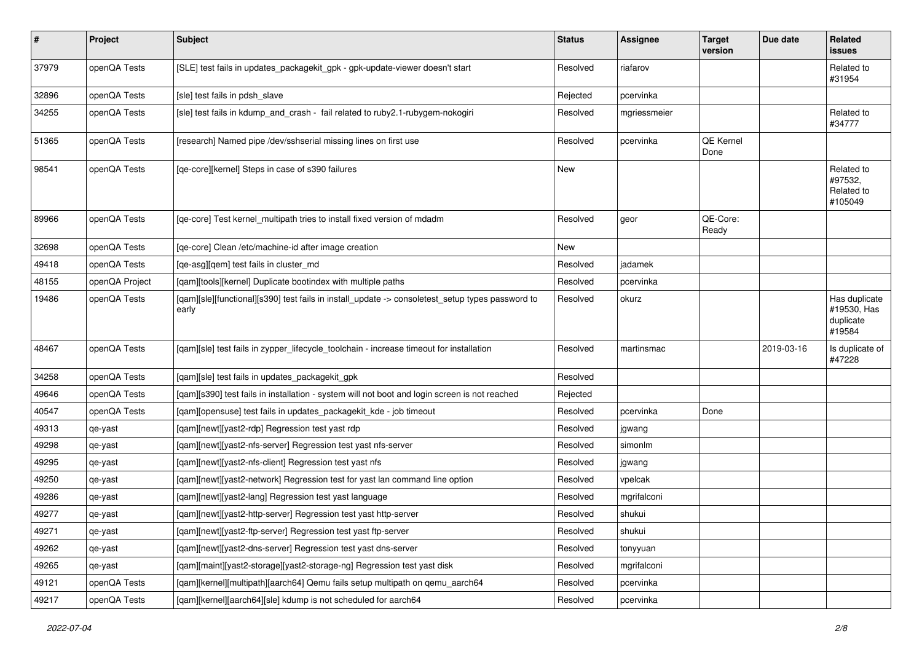| $\sharp$ | Project        | <b>Subject</b>                                                                                            | <b>Status</b> | Assignee     | <b>Target</b><br>version | Due date   | Related<br>issues                                   |
|----------|----------------|-----------------------------------------------------------------------------------------------------------|---------------|--------------|--------------------------|------------|-----------------------------------------------------|
| 37979    | openQA Tests   | [SLE] test fails in updates_packagekit_gpk - gpk-update-viewer doesn't start                              | Resolved      | riafarov     |                          |            | Related to<br>#31954                                |
| 32896    | openQA Tests   | [sle] test fails in pdsh slave                                                                            | Rejected      | pcervinka    |                          |            |                                                     |
| 34255    | openQA Tests   | [sle] test fails in kdump_and_crash - fail related to ruby2.1-rubygem-nokogiri                            | Resolved      | mgriessmeier |                          |            | Related to<br>#34777                                |
| 51365    | openQA Tests   | [research] Named pipe /dev/sshserial missing lines on first use                                           | Resolved      | pcervinka    | QE Kernel<br>Done        |            |                                                     |
| 98541    | openQA Tests   | [qe-core][kernel] Steps in case of s390 failures                                                          | <b>New</b>    |              |                          |            | Related to<br>#97532,<br>Related to<br>#105049      |
| 89966    | openQA Tests   | [qe-core] Test kernel_multipath tries to install fixed version of mdadm                                   | Resolved      | geor         | QE-Core:<br>Ready        |            |                                                     |
| 32698    | openQA Tests   | [qe-core] Clean /etc/machine-id after image creation                                                      | New           |              |                          |            |                                                     |
| 49418    | openQA Tests   | [qe-asg][qem] test fails in cluster_md                                                                    | Resolved      | jadamek      |                          |            |                                                     |
| 48155    | openQA Project | [qam][tools][kernel] Duplicate bootindex with multiple paths                                              | Resolved      | pcervinka    |                          |            |                                                     |
| 19486    | openQA Tests   | [qam][sle][functional][s390] test fails in install_update -> consoletest_setup types password to<br>early | Resolved      | okurz        |                          |            | Has duplicate<br>#19530, Has<br>duplicate<br>#19584 |
| 48467    | openQA Tests   | [qam][sle] test fails in zypper_lifecycle_toolchain - increase timeout for installation                   | Resolved      | martinsmac   |                          | 2019-03-16 | Is duplicate of<br>#47228                           |
| 34258    | openQA Tests   | [qam][sle] test fails in updates_packagekit_gpk                                                           | Resolved      |              |                          |            |                                                     |
| 49646    | openQA Tests   | [qam][s390] test fails in installation - system will not boot and login screen is not reached             | Rejected      |              |                          |            |                                                     |
| 40547    | openQA Tests   | [qam][opensuse] test fails in updates_packagekit_kde - job timeout                                        | Resolved      | pcervinka    | Done                     |            |                                                     |
| 49313    | qe-yast        | [qam][newt][yast2-rdp] Regression test yast rdp                                                           | Resolved      | jgwang       |                          |            |                                                     |
| 49298    | qe-yast        | [qam][newt][yast2-nfs-server] Regression test yast nfs-server                                             | Resolved      | simonlm      |                          |            |                                                     |
| 49295    | qe-yast        | [qam][newt][yast2-nfs-client] Regression test yast nfs                                                    | Resolved      | jgwang       |                          |            |                                                     |
| 49250    | qe-yast        | [qam][newt][yast2-network] Regression test for yast lan command line option                               | Resolved      | vpelcak      |                          |            |                                                     |
| 49286    | qe-yast        | [qam][newt][yast2-lang] Regression test yast language                                                     | Resolved      | mgrifalconi  |                          |            |                                                     |
| 49277    | qe-yast        | [qam][newt][yast2-http-server] Regression test yast http-server                                           | Resolved      | shukui       |                          |            |                                                     |
| 49271    | qe-yast        | [qam][newt][yast2-ftp-server] Regression test yast ftp-server                                             | Resolved      | shukui       |                          |            |                                                     |
| 49262    | qe-yast        | [gam][newt][yast2-dns-server] Regression test yast dns-server                                             | Resolved      | tonyyuan     |                          |            |                                                     |
| 49265    | qe-yast        | [qam][maint][yast2-storage][yast2-storage-ng] Regression test yast disk                                   | Resolved      | mgrifalconi  |                          |            |                                                     |
| 49121    | openQA Tests   | [qam][kernel][multipath][aarch64] Qemu fails setup multipath on qemu_aarch64                              | Resolved      | pcervinka    |                          |            |                                                     |
| 49217    | openQA Tests   | [qam][kernel][aarch64][sle] kdump is not scheduled for aarch64                                            | Resolved      | pcervinka    |                          |            |                                                     |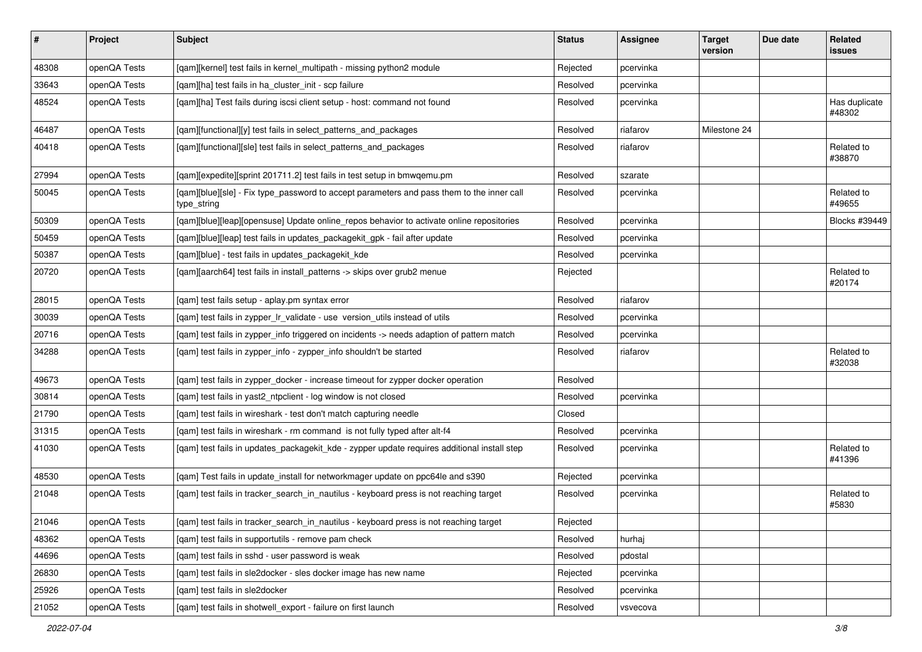| $\vert$ # | Project      | Subject                                                                                                  | <b>Status</b> | Assignee  | <b>Target</b><br>version | Due date | Related<br><b>issues</b> |
|-----------|--------------|----------------------------------------------------------------------------------------------------------|---------------|-----------|--------------------------|----------|--------------------------|
| 48308     | openQA Tests | [qam][kernel] test fails in kernel_multipath - missing python2 module                                    | Rejected      | pcervinka |                          |          |                          |
| 33643     | openQA Tests | [gam][ha] test fails in ha cluster init - scp failure                                                    | Resolved      | pcervinka |                          |          |                          |
| 48524     | openQA Tests | [qam][ha] Test fails during iscsi client setup - host: command not found                                 | Resolved      | pcervinka |                          |          | Has duplicate<br>#48302  |
| 46487     | openQA Tests | [qam][functional][y] test fails in select_patterns_and_packages                                          | Resolved      | riafarov  | Milestone 24             |          |                          |
| 40418     | openQA Tests | [qam][functional][sle] test fails in select_patterns_and_packages                                        | Resolved      | riafarov  |                          |          | Related to<br>#38870     |
| 27994     | openQA Tests | [qam][expedite][sprint 201711.2] test fails in test setup in bmwqemu.pm                                  | Resolved      | szarate   |                          |          |                          |
| 50045     | openQA Tests | [qam][blue][sle] - Fix type_password to accept parameters and pass them to the inner call<br>type_string | Resolved      | pcervinka |                          |          | Related to<br>#49655     |
| 50309     | openQA Tests | [qam][blue][leap][opensuse] Update online_repos behavior to activate online repositories                 | Resolved      | pcervinka |                          |          | Blocks #39449            |
| 50459     | openQA Tests | [qam][blue][leap] test fails in updates_packagekit_gpk - fail after update                               | Resolved      | pcervinka |                          |          |                          |
| 50387     | openQA Tests | [qam][blue] - test fails in updates_packagekit_kde                                                       | Resolved      | pcervinka |                          |          |                          |
| 20720     | openQA Tests | [qam][aarch64] test fails in install_patterns -> skips over grub2 menue                                  | Rejected      |           |                          |          | Related to<br>#20174     |
| 28015     | openQA Tests | [qam] test fails setup - aplay.pm syntax error                                                           | Resolved      | riafarov  |                          |          |                          |
| 30039     | openQA Tests | [qam] test fails in zypper_lr_validate - use version_utils instead of utils                              | Resolved      | pcervinka |                          |          |                          |
| 20716     | openQA Tests | [qam] test fails in zypper_info triggered on incidents -> needs adaption of pattern match                | Resolved      | pcervinka |                          |          |                          |
| 34288     | openQA Tests | [qam] test fails in zypper_info - zypper_info shouldn't be started                                       | Resolved      | riafarov  |                          |          | Related to<br>#32038     |
| 49673     | openQA Tests | [gam] test fails in zypper docker - increase timeout for zypper docker operation                         | Resolved      |           |                          |          |                          |
| 30814     | openQA Tests | [qam] test fails in yast2_ntpclient - log window is not closed                                           | Resolved      | pcervinka |                          |          |                          |
| 21790     | openQA Tests | [qam] test fails in wireshark - test don't match capturing needle                                        | Closed        |           |                          |          |                          |
| 31315     | openQA Tests | [qam] test fails in wireshark - rm command is not fully typed after alt-f4                               | Resolved      | pcervinka |                          |          |                          |
| 41030     | openQA Tests | [qam] test fails in updates_packagekit_kde - zypper update requires additional install step              | Resolved      | pcervinka |                          |          | Related to<br>#41396     |
| 48530     | openQA Tests | [qam] Test fails in update_install for networkmager update on ppc64le and s390                           | Rejected      | pcervinka |                          |          |                          |
| 21048     | openQA Tests | [qam] test fails in tracker_search_in_nautilus - keyboard press is not reaching target                   | Resolved      | pcervinka |                          |          | Related to<br>#5830      |
| 21046     | openQA Tests | [qam] test fails in tracker_search_in_nautilus - keyboard press is not reaching target                   | Rejected      |           |                          |          |                          |
| 48362     | openQA Tests | [qam] test fails in supportutils - remove pam check                                                      | Resolved      | hurhaj    |                          |          |                          |
| 44696     | openQA Tests | [qam] test fails in sshd - user password is weak                                                         | Resolved      | pdostal   |                          |          |                          |
| 26830     | openQA Tests | [qam] test fails in sle2docker - sles docker image has new name                                          | Rejected      | pcervinka |                          |          |                          |
| 25926     | openQA Tests | [gam] test fails in sle2docker                                                                           | Resolved      | pcervinka |                          |          |                          |
| 21052     | openQA Tests | [qam] test fails in shotwell_export - failure on first launch                                            | Resolved      | vsvecova  |                          |          |                          |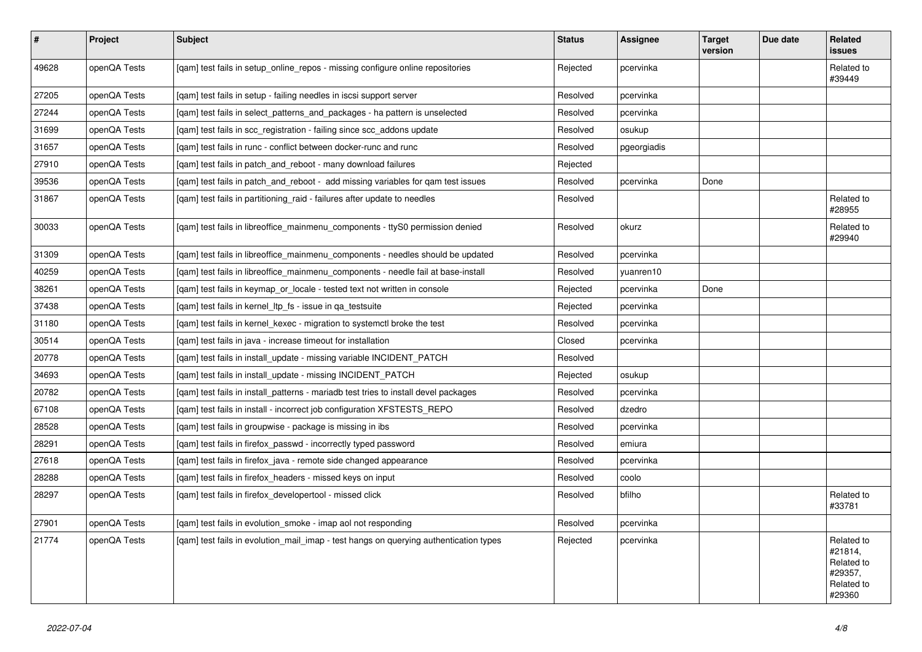| $\sharp$ | Project      | <b>Subject</b>                                                                        | <b>Status</b> | Assignee    | <b>Target</b><br>version | Due date | Related<br>issues                                                      |
|----------|--------------|---------------------------------------------------------------------------------------|---------------|-------------|--------------------------|----------|------------------------------------------------------------------------|
| 49628    | openQA Tests | [qam] test fails in setup_online_repos - missing configure online repositories        | Rejected      | pcervinka   |                          |          | Related to<br>#39449                                                   |
| 27205    | openQA Tests | [gam] test fails in setup - failing needles in iscsi support server                   | Resolved      | pcervinka   |                          |          |                                                                        |
| 27244    | openQA Tests | [gam] test fails in select patterns and packages - ha pattern is unselected           | Resolved      | pcervinka   |                          |          |                                                                        |
| 31699    | openQA Tests | [gam] test fails in scc registration - failing since scc addons update                | Resolved      | osukup      |                          |          |                                                                        |
| 31657    | openQA Tests | [gam] test fails in runc - conflict between docker-runc and runc                      | Resolved      | pgeorgiadis |                          |          |                                                                        |
| 27910    | openQA Tests | [gam] test fails in patch and reboot - many download failures                         | Rejected      |             |                          |          |                                                                        |
| 39536    | openQA Tests | [gam] test fails in patch and reboot - add missing variables for gam test issues      | Resolved      | pcervinka   | Done                     |          |                                                                        |
| 31867    | openQA Tests | [gam] test fails in partitioning raid - failures after update to needles              | Resolved      |             |                          |          | Related to<br>#28955                                                   |
| 30033    | openQA Tests | [qam] test fails in libreoffice_mainmenu_components - ttyS0 permission denied         | Resolved      | okurz       |                          |          | Related to<br>#29940                                                   |
| 31309    | openQA Tests | [gam] test fails in libreoffice mainmenu components - needles should be updated       | Resolved      | pcervinka   |                          |          |                                                                        |
| 40259    | openQA Tests | [gam] test fails in libreoffice mainmenu components - needle fail at base-install     | Resolved      | yuanren10   |                          |          |                                                                        |
| 38261    | openQA Tests | [qam] test fails in keymap_or_locale - tested text not written in console             | Rejected      | pcervinka   | Done                     |          |                                                                        |
| 37438    | openQA Tests | [gam] test fails in kernel Itp fs - issue in ga testsuite                             | Rejected      | pcervinka   |                          |          |                                                                        |
| 31180    | openQA Tests | [gam] test fails in kernel kexec - migration to systemctl broke the test              | Resolved      | pcervinka   |                          |          |                                                                        |
| 30514    | openQA Tests | [gam] test fails in java - increase timeout for installation                          | Closed        | pcervinka   |                          |          |                                                                        |
| 20778    | openQA Tests | [qam] test fails in install_update - missing variable INCIDENT_PATCH                  | Resolved      |             |                          |          |                                                                        |
| 34693    | openQA Tests | [qam] test fails in install_update - missing INCIDENT_PATCH                           | Rejected      | osukup      |                          |          |                                                                        |
| 20782    | openQA Tests | [gam] test fails in install patterns - mariadb test tries to install devel packages   | Resolved      | pcervinka   |                          |          |                                                                        |
| 67108    | openQA Tests | [gam] test fails in install - incorrect job configuration XFSTESTS REPO               | Resolved      | dzedro      |                          |          |                                                                        |
| 28528    | openQA Tests | [gam] test fails in groupwise - package is missing in ibs                             | Resolved      | pcervinka   |                          |          |                                                                        |
| 28291    | openQA Tests | [gam] test fails in firefox passwd - incorrectly typed password                       | Resolved      | emiura      |                          |          |                                                                        |
| 27618    | openQA Tests | [gam] test fails in firefox_java - remote side changed appearance                     | Resolved      | pcervinka   |                          |          |                                                                        |
| 28288    | openQA Tests | [gam] test fails in firefox headers - missed keys on input                            | Resolved      | coolo       |                          |          |                                                                        |
| 28297    | openQA Tests | [gam] test fails in firefox developertool - missed click                              | Resolved      | bfilho      |                          |          | Related to<br>#33781                                                   |
| 27901    | openQA Tests | [qam] test fails in evolution_smoke - imap aol not responding                         | Resolved      | pcervinka   |                          |          |                                                                        |
| 21774    | openQA Tests | [gam] test fails in evolution mail imap - test hangs on querying authentication types | Rejected      | pcervinka   |                          |          | Related to<br>#21814,<br>Related to<br>#29357,<br>Related to<br>#29360 |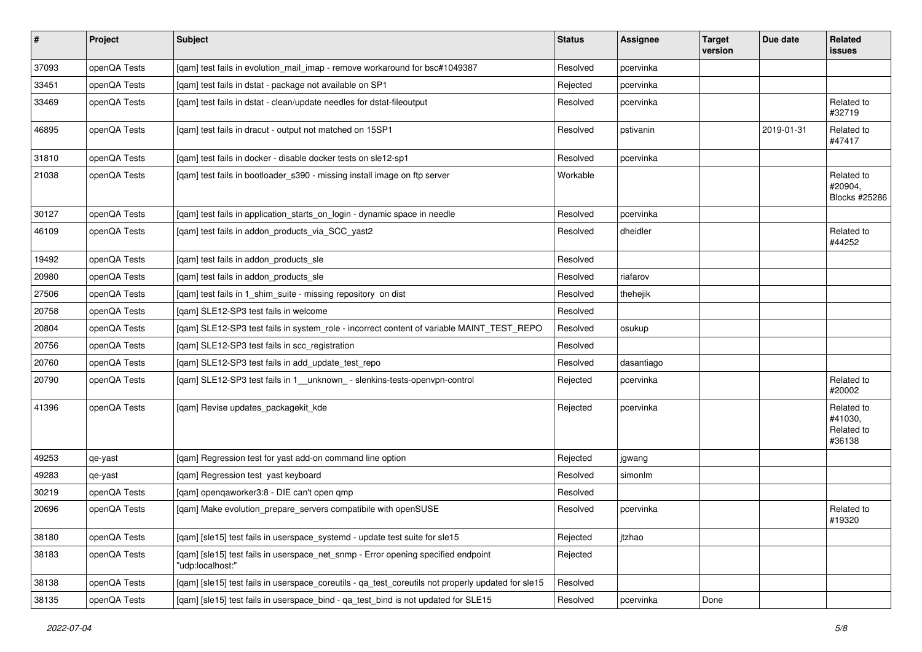| $\sharp$ | Project      | <b>Subject</b>                                                                                        | <b>Status</b> | Assignee   | <b>Target</b><br>version | Due date   | Related<br>issues                             |
|----------|--------------|-------------------------------------------------------------------------------------------------------|---------------|------------|--------------------------|------------|-----------------------------------------------|
| 37093    | openQA Tests | [gam] test fails in evolution mail imap - remove workaround for bsc#1049387                           | Resolved      | pcervinka  |                          |            |                                               |
| 33451    | openQA Tests | [qam] test fails in dstat - package not available on SP1                                              | Rejected      | pcervinka  |                          |            |                                               |
| 33469    | openQA Tests | [qam] test fails in dstat - clean/update needles for dstat-fileoutput                                 | Resolved      | pcervinka  |                          |            | Related to<br>#32719                          |
| 46895    | openQA Tests | [qam] test fails in dracut - output not matched on 15SP1                                              | Resolved      | pstivanin  |                          | 2019-01-31 | Related to<br>#47417                          |
| 31810    | openQA Tests | [qam] test fails in docker - disable docker tests on sle12-sp1                                        | Resolved      | pcervinka  |                          |            |                                               |
| 21038    | openQA Tests | [qam] test fails in bootloader_s390 - missing install image on ftp server                             | Workable      |            |                          |            | Related to<br>#20904,<br>Blocks #25286        |
| 30127    | openQA Tests | [qam] test fails in application_starts_on_login - dynamic space in needle                             | Resolved      | pcervinka  |                          |            |                                               |
| 46109    | openQA Tests | [qam] test fails in addon_products_via_SCC_yast2                                                      | Resolved      | dheidler   |                          |            | Related to<br>#44252                          |
| 19492    | openQA Tests | [qam] test fails in addon_products_sle                                                                | Resolved      |            |                          |            |                                               |
| 20980    | openQA Tests | [gam] test fails in addon products sle                                                                | Resolved      | riafarov   |                          |            |                                               |
| 27506    | openQA Tests | [gam] test fails in 1 shim suite - missing repository on dist                                         | Resolved      | thehejik   |                          |            |                                               |
| 20758    | openQA Tests | [qam] SLE12-SP3 test fails in welcome                                                                 | Resolved      |            |                          |            |                                               |
| 20804    | openQA Tests | [qam] SLE12-SP3 test fails in system_role - incorrect content of variable MAINT_TEST_REPO             | Resolved      | osukup     |                          |            |                                               |
| 20756    | openQA Tests | [qam] SLE12-SP3 test fails in scc_registration                                                        | Resolved      |            |                          |            |                                               |
| 20760    | openQA Tests | [qam] SLE12-SP3 test fails in add_update_test_repo                                                    | Resolved      | dasantiago |                          |            |                                               |
| 20790    | openQA Tests | [qam] SLE12-SP3 test fails in 1_unknown_ - slenkins-tests-openvpn-control                             | Rejected      | pcervinka  |                          |            | Related to<br>#20002                          |
| 41396    | openQA Tests | [qam] Revise updates_packagekit_kde                                                                   | Rejected      | pcervinka  |                          |            | Related to<br>#41030,<br>Related to<br>#36138 |
| 49253    | qe-yast      | [qam] Regression test for yast add-on command line option                                             | Rejected      | jgwang     |                          |            |                                               |
| 49283    | qe-yast      | [qam] Regression test yast keyboard                                                                   | Resolved      | simonlm    |                          |            |                                               |
| 30219    | openQA Tests | [qam] openqaworker3:8 - DIE can't open qmp                                                            | Resolved      |            |                          |            |                                               |
| 20696    | openQA Tests | [qam] Make evolution_prepare_servers compatibile with openSUSE                                        | Resolved      | pcervinka  |                          |            | Related to<br>#19320                          |
| 38180    | openQA Tests | [gam] [sle15] test fails in userspace systemd - update test suite for sle15                           | Rejected      | jtzhao     |                          |            |                                               |
| 38183    | openQA Tests | [qam] [sle15] test fails in userspace_net_snmp - Error opening specified endpoint<br>"udp:localhost:" | Rejected      |            |                          |            |                                               |
| 38138    | openQA Tests | [qam] [sle15] test fails in userspace_coreutils - qa_test_coreutils not properly updated for sle15    | Resolved      |            |                          |            |                                               |
| 38135    | openQA Tests | [qam] [sle15] test fails in userspace_bind - qa_test_bind is not updated for SLE15                    | Resolved      | pcervinka  | Done                     |            |                                               |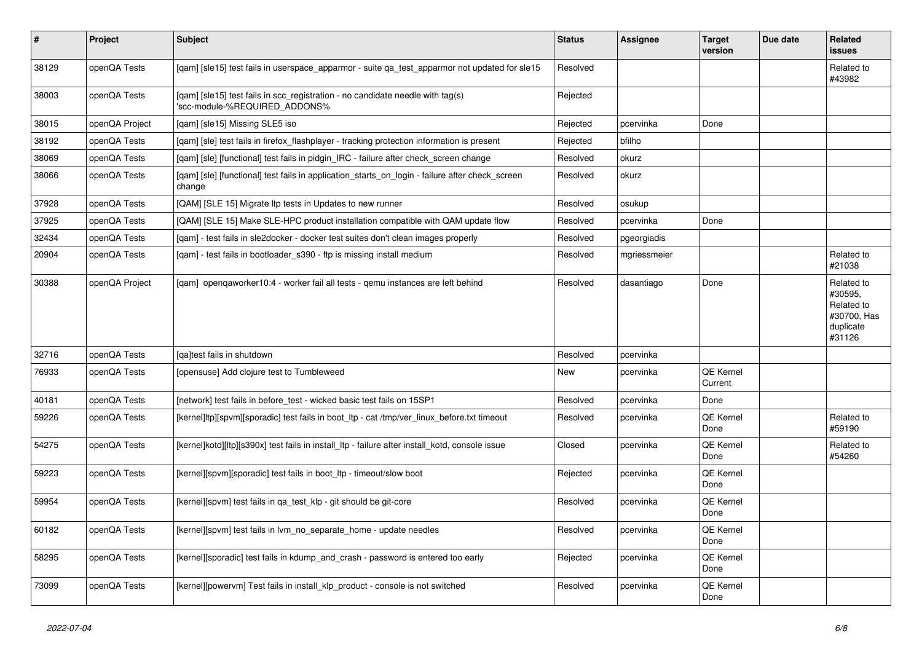| $\vert$ # | <b>Project</b> | <b>Subject</b>                                                                                                  | <b>Status</b> | <b>Assignee</b> | <b>Target</b><br>version | Due date | Related<br><b>issues</b>                                                  |
|-----------|----------------|-----------------------------------------------------------------------------------------------------------------|---------------|-----------------|--------------------------|----------|---------------------------------------------------------------------------|
| 38129     | openQA Tests   | [gam] [sle15] test fails in userspace apparmor - suite ga test apparmor not updated for sle15                   | Resolved      |                 |                          |          | Related to<br>#43982                                                      |
| 38003     | openQA Tests   | [gam] [sle15] test fails in scc registration - no candidate needle with tag(s)<br>'scc-module-%REQUIRED_ADDONS% | Rejected      |                 |                          |          |                                                                           |
| 38015     | openQA Project | [qam] [sle15] Missing SLE5 iso                                                                                  | Rejected      | pcervinka       | Done                     |          |                                                                           |
| 38192     | openQA Tests   | [qam] [sle] test fails in firefox_flashplayer - tracking protection information is present                      | Rejected      | bfilho          |                          |          |                                                                           |
| 38069     | openQA Tests   | [gam] [sle] [functional] test fails in pidgin IRC - failure after check screen change                           | Resolved      | okurz           |                          |          |                                                                           |
| 38066     | openQA Tests   | [gam] [sle] [functional] test fails in application starts on login - failure after check screen<br>change       | Resolved      | okurz           |                          |          |                                                                           |
| 37928     | openQA Tests   | [QAM] [SLE 15] Migrate Itp tests in Updates to new runner                                                       | Resolved      | osukup          |                          |          |                                                                           |
| 37925     | openQA Tests   | [QAM] [SLE 15] Make SLE-HPC product installation compatible with QAM update flow                                | Resolved      | pcervinka       | Done                     |          |                                                                           |
| 32434     | openQA Tests   | [gam] - test fails in sle2docker - docker test suites don't clean images properly                               | Resolved      | pgeorgiadis     |                          |          |                                                                           |
| 20904     | openQA Tests   | [gam] - test fails in bootloader s390 - ftp is missing install medium                                           | Resolved      | mgriessmeier    |                          |          | Related to<br>#21038                                                      |
| 30388     | openQA Project | [gam] opengaworker10:4 - worker fail all tests - gemu instances are left behind                                 | Resolved      | dasantiago      | Done                     |          | Related to<br>#30595,<br>Related to<br>#30700, Has<br>duplicate<br>#31126 |
| 32716     | openQA Tests   | [ga]test fails in shutdown                                                                                      | Resolved      | pcervinka       |                          |          |                                                                           |
| 76933     | openQA Tests   | [opensuse] Add clojure test to Tumbleweed                                                                       | New           | pcervinka       | QE Kernel<br>Current     |          |                                                                           |
| 40181     | openQA Tests   | [network] test fails in before_test - wicked basic test fails on 15SP1                                          | Resolved      | pcervinka       | Done                     |          |                                                                           |
| 59226     | openQA Tests   | [kernel]ltp][spvm][sporadic] test fails in boot ltp - cat /tmp/ver linux before.txt timeout                     | Resolved      | pcervinka       | QE Kernel<br>Done        |          | Related to<br>#59190                                                      |
| 54275     | openQA Tests   | [kernel]kotd][ltp][s390x] test fails in install_ltp - failure after install_kotd, console issue                 | Closed        | pcervinka       | QE Kernel<br>Done        |          | Related to<br>#54260                                                      |
| 59223     | openQA Tests   | [kernel][spvm][sporadic] test fails in boot ltp - timeout/slow boot                                             | Rejected      | pcervinka       | QE Kernel<br>Done        |          |                                                                           |
| 59954     | openQA Tests   | [kernel][spvm] test fails in qa_test_klp - git should be git-core                                               | Resolved      | pcervinka       | QE Kernel<br>Done        |          |                                                                           |
| 60182     | openQA Tests   | [kernel][spvm] test fails in lvm no separate home - update needles                                              | Resolved      | pcervinka       | QE Kernel<br>Done        |          |                                                                           |
| 58295     | openQA Tests   | [kernel][sporadic] test fails in kdump_and_crash - password is entered too early                                | Rejected      | pcervinka       | QE Kernel<br>Done        |          |                                                                           |
| 73099     | openQA Tests   | [kernel][powervm] Test fails in install klp product - console is not switched                                   | Resolved      | pcervinka       | QE Kernel<br>Done        |          |                                                                           |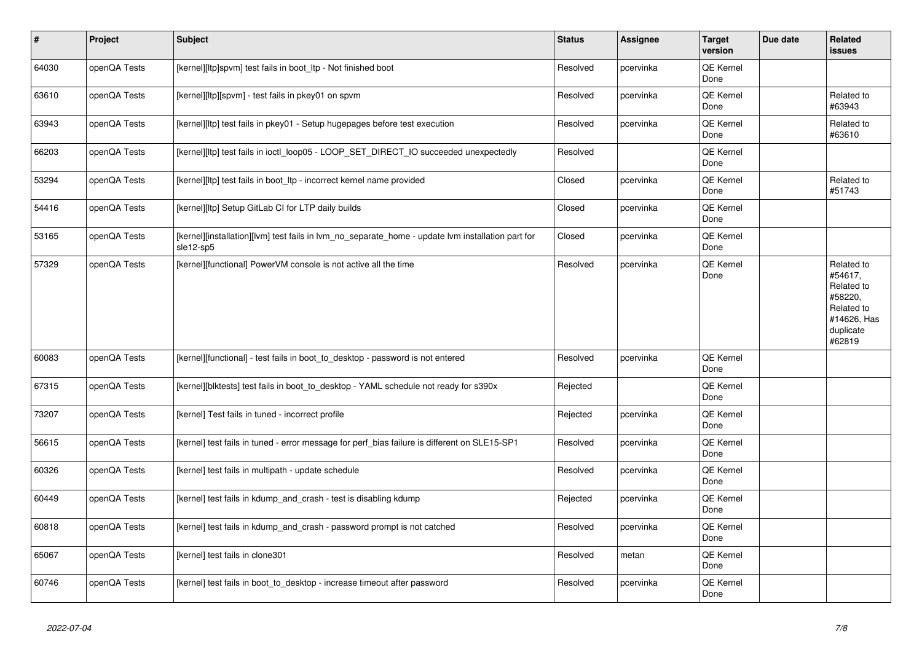| $\vert$ # | Project      | <b>Subject</b>                                                                                                 | <b>Status</b> | Assignee  | <b>Target</b><br>version | Due date | Related<br>issues                                                                                  |
|-----------|--------------|----------------------------------------------------------------------------------------------------------------|---------------|-----------|--------------------------|----------|----------------------------------------------------------------------------------------------------|
| 64030     | openQA Tests | [kernel][ltp]spvm] test fails in boot_ltp - Not finished boot                                                  | Resolved      | pcervinka | QE Kernel<br>Done        |          |                                                                                                    |
| 63610     | openQA Tests | [kernel][ltp][spvm] - test fails in pkey01 on spvm                                                             | Resolved      | pcervinka | QE Kernel<br>Done        |          | Related to<br>#63943                                                                               |
| 63943     | openQA Tests | [kernel][ltp] test fails in pkey01 - Setup hugepages before test execution                                     | Resolved      | pcervinka | QE Kernel<br>Done        |          | Related to<br>#63610                                                                               |
| 66203     | openQA Tests | [kernel][ltp] test fails in ioctl_loop05 - LOOP_SET_DIRECT_IO succeeded unexpectedly                           | Resolved      |           | QE Kernel<br>Done        |          |                                                                                                    |
| 53294     | openQA Tests | [kernel][ltp] test fails in boot_ltp - incorrect kernel name provided                                          | Closed        | pcervinka | QE Kernel<br>Done        |          | Related to<br>#51743                                                                               |
| 54416     | openQA Tests | [kernel][ltp] Setup GitLab CI for LTP daily builds                                                             | Closed        | pcervinka | QE Kernel<br>Done        |          |                                                                                                    |
| 53165     | openQA Tests | [kernel][installation][lvm] test fails in lvm_no_separate_home - update lvm installation part for<br>sle12-sp5 | Closed        | pcervinka | QE Kernel<br>Done        |          |                                                                                                    |
| 57329     | openQA Tests | [kernel][functional] PowerVM console is not active all the time                                                | Resolved      | pcervinka | QE Kernel<br>Done        |          | Related to<br>#54617,<br>Related to<br>#58220,<br>Related to<br>#14626, Has<br>duplicate<br>#62819 |
| 60083     | openQA Tests | [kernel][functional] - test fails in boot_to_desktop - password is not entered                                 | Resolved      | pcervinka | <b>QE Kernel</b><br>Done |          |                                                                                                    |
| 67315     | openQA Tests | [kernel][blktests] test fails in boot_to_desktop - YAML schedule not ready for s390x                           | Rejected      |           | QE Kernel<br>Done        |          |                                                                                                    |
| 73207     | openQA Tests | [kernel] Test fails in tuned - incorrect profile                                                               | Rejected      | pcervinka | <b>QE Kernel</b><br>Done |          |                                                                                                    |
| 56615     | openQA Tests | [kernel] test fails in tuned - error message for perf_bias failure is different on SLE15-SP1                   | Resolved      | pcervinka | QE Kernel<br>Done        |          |                                                                                                    |
| 60326     | openQA Tests | [kernel] test fails in multipath - update schedule                                                             | Resolved      | pcervinka | QE Kernel<br>Done        |          |                                                                                                    |
| 60449     | openQA Tests | [kernel] test fails in kdump_and_crash - test is disabling kdump                                               | Rejected      | pcervinka | QE Kernel<br>Done        |          |                                                                                                    |
| 60818     | openQA Tests | [kernel] test fails in kdump_and_crash - password prompt is not catched                                        | Resolved      | pcervinka | QE Kernel<br>Done        |          |                                                                                                    |
| 65067     | openQA Tests | [kernel] test fails in clone301                                                                                | Resolved      | metan     | QE Kernel<br>Done        |          |                                                                                                    |
| 60746     | openQA Tests | [kernel] test fails in boot to desktop - increase timeout after password                                       | Resolved      | pcervinka | QE Kernel<br>Done        |          |                                                                                                    |